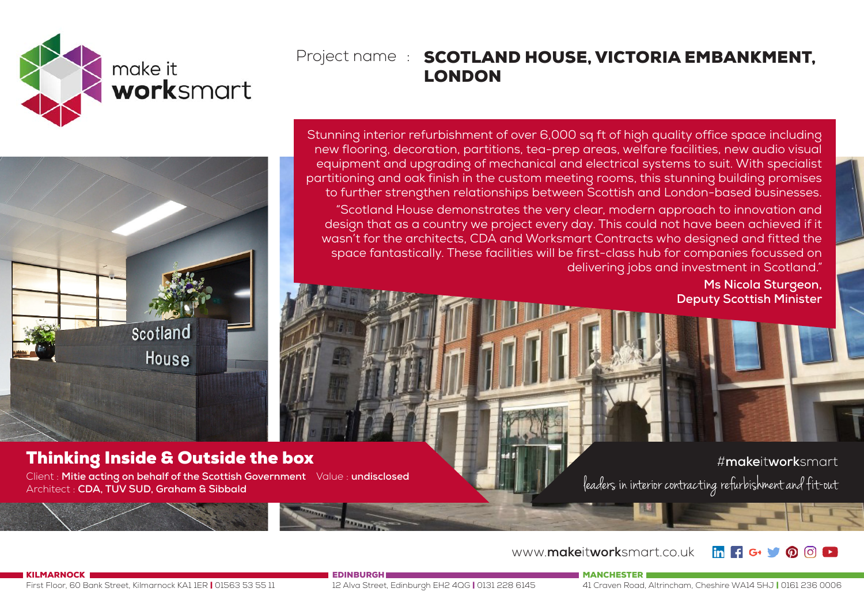

## Project name : SCOTLAND HOUSE, VICTORIA EMBANKMENT, LONDON

Scotland House

## Thinking Inside & Outside the box

Client : **Mitie acting on behalf of the Scottish Government** Value : **undisclosed**  Architect : **CDA, TUV SUD, Graham & Sibbald**

Stunning interior refurbishment of over 6,000 sq ft of high quality office space including new flooring, decoration, partitions, tea-prep areas, welfare facilities, new audio visual equipment and upgrading of mechanical and electrical systems to suit. With specialist partitioning and oak finish in the custom meeting rooms, this stunning building promises to further strengthen relationships between Scottish and London-based businesses. "Scotland House demonstrates the very clear, modern approach to innovation and design that as a country we project every day. This could not have been achieved if it wasn't for the architects, CDA and Worksmart Contracts who designed and fitted the space fantastically. These facilities will be first-class hub for companies focussed on delivering jobs and investment in Scotland."

**Ms Nicola Sturgeon, Deputy Scottish Minister**

#**make**it**work**smart leaders in interior contracting refurbishment and fit-out

www.**make**it**work**smart.co.uk

KILMARNOCK

First Floor, 60 Bank Street, Kilmarnock KA1 1ER | 01563 53 55 11

12 Alva Street, Edinburgh EH2 4QG | 0131 228 6145

**EDINBURGH** 

MANCHESTER

41 Craven Road, Altrincham, Cheshire WA14 5HJ | 0161 236 0006